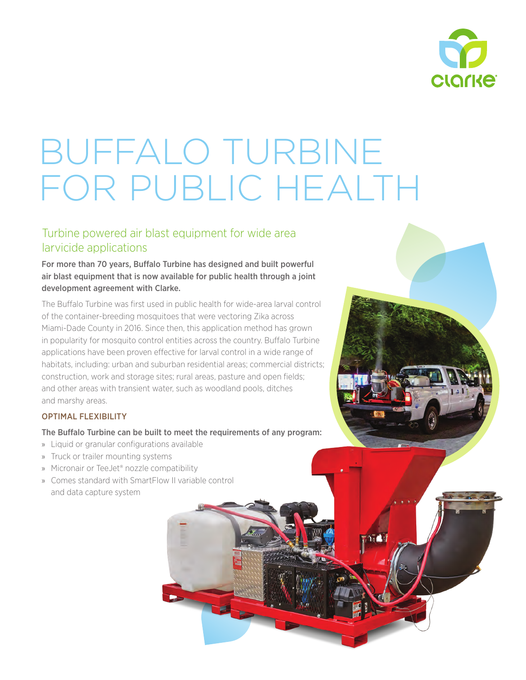

# BUFFALO TURBINE FOR PUBLIC HEALTH

# Turbine powered air blast equipment for wide area larvicide applications

For more than 70 years, Buffalo Turbine has designed and built powerful air blast equipment that is now available for public health through a joint development agreement with Clarke.

The Buffalo Turbine was first used in public health for wide-area larval control of the container-breeding mosquitoes that were vectoring Zika across Miami-Dade County in 2016. Since then, this application method has grown in popularity for mosquito control entities across the country. Buffalo Turbine applications have been proven effective for larval control in a wide range of habitats, including: urban and suburban residential areas; commercial districts; construction, work and storage sites; rural areas, pasture and open fields; and other areas with transient water, such as woodland pools, ditches and marshy areas.

# OPTIMAL FLEXIBILITY

The Buffalo Turbine can be built to meet the requirements of any program:

- » Liquid or granular configurations available
- » Truck or trailer mounting systems
- » Micronair or TeeJet® nozzle compatibility
- » Comes standard with SmartFlow II variable control and data capture system